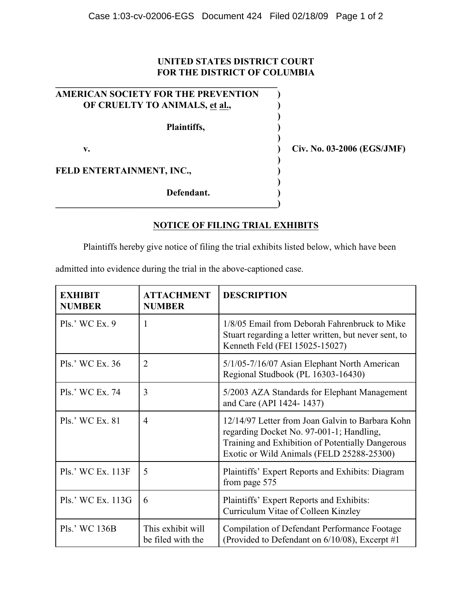## **UNITED STATES DISTRICT COURT FOR THE DISTRICT OF COLUMBIA**

| <b>AMERICAN SOCIETY FOR THE PREVENTION</b> |  |
|--------------------------------------------|--|
| OF CRUELTY TO ANIMALS, et al.,             |  |
| Plaintiffs,                                |  |
| v.                                         |  |
| FELD ENTERTAINMENT, INC.,                  |  |
| Defendant.                                 |  |

**v. ) Civ. No. 03-2006 (EGS/JMF)**

## **NOTICE OF FILING TRIAL EXHIBITS**

Plaintiffs hereby give notice of filing the trial exhibits listed below, which have been

admitted into evidence during the trial in the above-captioned case.

| <b>EXHIBIT</b><br><b>NUMBER</b> | <b>ATTACHMENT</b><br><b>NUMBER</b>     | <b>DESCRIPTION</b>                                                                                                                                                                            |
|---------------------------------|----------------------------------------|-----------------------------------------------------------------------------------------------------------------------------------------------------------------------------------------------|
| $PIs.'$ WC Ex. 9                | 1                                      | 1/8/05 Email from Deborah Fahrenbruck to Mike<br>Stuart regarding a letter written, but never sent, to<br>Kenneth Feld (FEI 15025-15027)                                                      |
| Pls.' WC Ex. 36                 | $\overline{2}$                         | 5/1/05-7/16/07 Asian Elephant North American<br>Regional Studbook (PL 16303-16430)                                                                                                            |
| Pls.' WC Ex. 74                 | $\overline{3}$                         | 5/2003 AZA Standards for Elephant Management<br>and Care (API 1424-1437)                                                                                                                      |
| Pls.' WC Ex. 81                 | $\overline{4}$                         | 12/14/97 Letter from Joan Galvin to Barbara Kohn<br>regarding Docket No. 97-001-1; Handling,<br>Training and Exhibition of Potentially Dangerous<br>Exotic or Wild Animals (FELD 25288-25300) |
| Pls.' WC Ex. 113F               | 5                                      | Plaintiffs' Expert Reports and Exhibits: Diagram<br>from page 575                                                                                                                             |
| Pls.' WC Ex. 113G               | 6                                      | Plaintiffs' Expert Reports and Exhibits:<br>Curriculum Vitae of Colleen Kinzley                                                                                                               |
| Pls.' WC 136B                   | This exhibit will<br>be filed with the | Compilation of Defendant Performance Footage<br>(Provided to Defendant on 6/10/08), Excerpt #1                                                                                                |